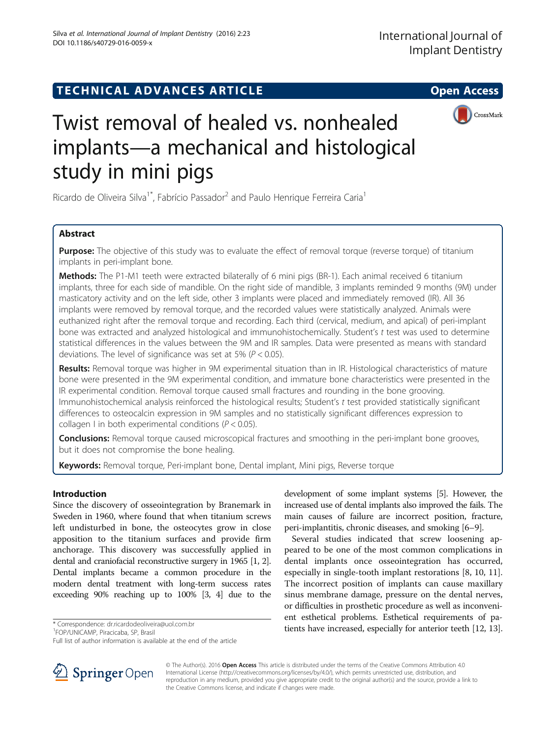# TECHNICAL ADVANCES ARTICLE **THE SERVICE SERVICE SERVICE** Open Access



# Twist removal of healed vs. nonhealed implants—a mechanical and histological study in mini pigs

Ricardo de Oliveira Silva<sup>1\*</sup>, Fabrício Passador<sup>2</sup> and Paulo Henrique Ferreira Caria<sup>1</sup>

## Abstract

Purpose: The objective of this study was to evaluate the effect of removal torque (reverse torque) of titanium implants in peri-implant bone.

Methods: The P1-M1 teeth were extracted bilaterally of 6 mini pigs (BR-1). Each animal received 6 titanium implants, three for each side of mandible. On the right side of mandible, 3 implants reminded 9 months (9M) under masticatory activity and on the left side, other 3 implants were placed and immediately removed (IR). All 36 implants were removed by removal torque, and the recorded values were statistically analyzed. Animals were euthanized right after the removal torque and recording. Each third (cervical, medium, and apical) of peri-implant bone was extracted and analyzed histological and immunohistochemically. Student's t test was used to determine statistical differences in the values between the 9M and IR samples. Data were presented as means with standard deviations. The level of significance was set at 5% ( $P < 0.05$ ).

Results: Removal torque was higher in 9M experimental situation than in IR. Histological characteristics of mature bone were presented in the 9M experimental condition, and immature bone characteristics were presented in the IR experimental condition. Removal torque caused small fractures and rounding in the bone grooving. Immunohistochemical analysis reinforced the histological results; Student's t test provided statistically significant differences to osteocalcin expression in 9M samples and no statistically significant differences expression to collagen I in both experimental conditions ( $P < 0.05$ ).

**Conclusions:** Removal torque caused microscopical fractures and smoothing in the peri-implant bone grooves, but it does not compromise the bone healing.

Keywords: Removal torque, Peri-implant bone, Dental implant, Mini pigs, Reverse torque

## Introduction

Since the discovery of osseointegration by Branemark in Sweden in 1960, where found that when titanium screws left undisturbed in bone, the osteocytes grow in close apposition to the titanium surfaces and provide firm anchorage. This discovery was successfully applied in dental and craniofacial reconstructive surgery in 1965 [\[1, 2](#page-6-0)]. Dental implants became a common procedure in the modern dental treatment with long-term success rates exceeding 90% reaching up to 100% [\[3, 4](#page-6-0)] due to the

<sup>1</sup>FOP/UNICAMP, Piracicaba, SP, Brasil

development of some implant systems [\[5](#page-6-0)]. However, the increased use of dental implants also improved the fails. The main causes of failure are incorrect position, fracture, peri-implantitis, chronic diseases, and smoking [[6](#page-6-0)–[9](#page-6-0)].

Several studies indicated that screw loosening appeared to be one of the most common complications in dental implants once osseointegration has occurred, especially in single-tooth implant restorations [\[8](#page-6-0), [10](#page-6-0), [11](#page-6-0)]. The incorrect position of implants can cause maxillary sinus membrane damage, pressure on the dental nerves, or difficulties in prosthetic procedure as well as inconvenient esthetical problems. Esthetical requirements of pa-\* Correspondence: dr.ricardodeoliveira@uol.com.br 1999 tients have increased, especially for anterior teeth [\[12, 13](#page-6-0)].



© The Author(s). 2016 Open Access This article is distributed under the terms of the Creative Commons Attribution 4.0 International License ([http://creativecommons.org/licenses/by/4.0/\)](http://creativecommons.org/licenses/by/4.0/), which permits unrestricted use, distribution, and reproduction in any medium, provided you give appropriate credit to the original author(s) and the source, provide a link to the Creative Commons license, and indicate if changes were made.

Full list of author information is available at the end of the article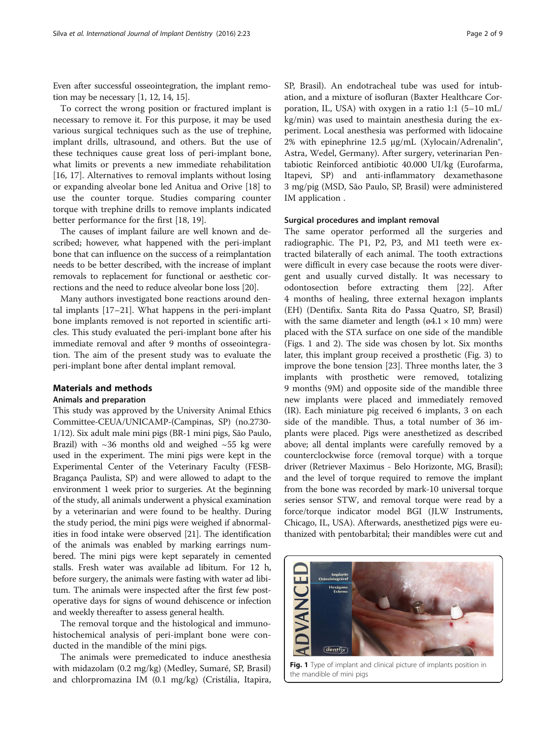Even after successful osseointegration, the implant remotion may be necessary [\[1](#page-6-0), [12](#page-6-0), [14, 15](#page-7-0)].

To correct the wrong position or fractured implant is necessary to remove it. For this purpose, it may be used various surgical techniques such as the use of trephine, implant drills, ultrasound, and others. But the use of these techniques cause great loss of peri-implant bone, what limits or prevents a new immediate rehabilitation [[16, 17\]](#page-7-0). Alternatives to removal implants without losing or expanding alveolar bone led Anitua and Orive [\[18\]](#page-7-0) to use the counter torque. Studies comparing counter torque with trephine drills to remove implants indicated better performance for the first [[18, 19\]](#page-7-0).

The causes of implant failure are well known and described; however, what happened with the peri-implant bone that can influence on the success of a reimplantation needs to be better described, with the increase of implant removals to replacement for functional or aesthetic corrections and the need to reduce alveolar bone loss [\[20\]](#page-7-0).

Many authors investigated bone reactions around dental implants [[17](#page-7-0)–[21](#page-7-0)]. What happens in the peri-implant bone implants removed is not reported in scientific articles. This study evaluated the peri-implant bone after his immediate removal and after 9 months of osseointegration. The aim of the present study was to evaluate the peri-implant bone after dental implant removal.

## Materials and methods

#### Animals and preparation

This study was approved by the University Animal Ethics Committee-CEUA/UNICAMP-(Campinas, SP) (no.2730- 1/12). Six adult male mini pigs (BR-1 mini pigs, São Paulo, Brazil) with  $\sim$ 36 months old and weighed  $\sim$ 55 kg were used in the experiment. The mini pigs were kept in the Experimental Center of the Veterinary Faculty (FESB-Bragança Paulista, SP) and were allowed to adapt to the environment 1 week prior to surgeries. At the beginning of the study, all animals underwent a physical examination by a veterinarian and were found to be healthy. During the study period, the mini pigs were weighed if abnormalities in food intake were observed [[21](#page-7-0)]. The identification of the animals was enabled by marking earrings numbered. The mini pigs were kept separately in cemented stalls. Fresh water was available ad libitum. For 12 h, before surgery, the animals were fasting with water ad libitum. The animals were inspected after the first few postoperative days for signs of wound dehiscence or infection and weekly thereafter to assess general health.

The removal torque and the histological and immunohistochemical analysis of peri-implant bone were conducted in the mandible of the mini pigs.

The animals were premedicated to induce anesthesia with midazolam (0.2 mg/kg) (Medley, Sumaré, SP, Brasil) and chlorpromazina IM (0.1 mg/kg) (Cristália, Itapira, SP, Brasil). An endotracheal tube was used for intubation, and a mixture of isofluran (Baxter Healthcare Corporation, IL, USA) with oxygen in a ratio 1:1 (5–10 mL/ kg/min) was used to maintain anesthesia during the experiment. Local anesthesia was performed with lidocaine 2% with epinephrine 12.5 μg/mL (Xylocain/Adrenalin®, Astra, Wedel, Germany). After surgery, veterinarian Pentabiotic Reinforced antibiotic 40.000 UI/kg (Eurofarma, Itapevi, SP) and anti-inflammatory dexamethasone 3 mg/pig (MSD, São Paulo, SP, Brasil) were administered IM application .

#### Surgical procedures and implant removal

The same operator performed all the surgeries and radiographic. The P1, P2, P3, and M1 teeth were extracted bilaterally of each animal. The tooth extractions were difficult in every case because the roots were divergent and usually curved distally. It was necessary to odontosection before extracting them [[22](#page-7-0)]. After 4 months of healing, three external hexagon implants (EH) (Dentifix. Santa Rita do Passa Quatro, SP, Brasil) with the same diameter and length ( $\varphi$ 4.1 × 10 mm) were placed with the STA surface on one side of the mandible (Figs. 1 and [2](#page-2-0)). The side was chosen by lot. Six months later, this implant group received a prosthetic (Fig. [3\)](#page-2-0) to improve the bone tension [\[23\]](#page-7-0). Three months later, the 3 implants with prosthetic were removed, totalizing 9 months (9M) and opposite side of the mandible three new implants were placed and immediately removed (IR). Each miniature pig received 6 implants, 3 on each side of the mandible. Thus, a total number of 36 implants were placed. Pigs were anesthetized as described above; all dental implants were carefully removed by a counterclockwise force (removal torque) with a torque driver (Retriever Maximus - Belo Horizonte, MG, Brasil); and the level of torque required to remove the implant from the bone was recorded by mark-10 universal torque series sensor STW, and removal torque were read by a force/torque indicator model BGI (JLW Instruments, Chicago, IL, USA). Afterwards, anesthetized pigs were euthanized with pentobarbital; their mandibles were cut and



Fig. 1 Type of implant and clinical picture of implants position in the mandible of mini pigs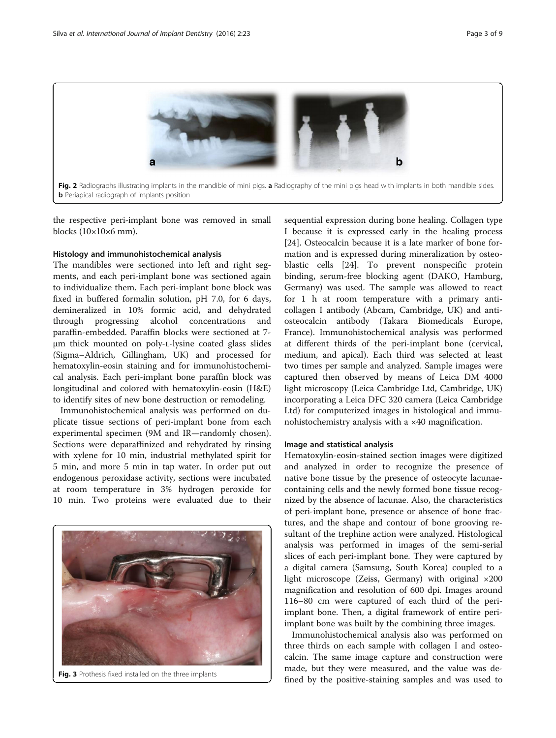<span id="page-2-0"></span>

the respective peri-implant bone was removed in small blocks  $(10\times10\times6$  mm).

## Histology and immunohistochemical analysis

The mandibles were sectioned into left and right segments, and each peri-implant bone was sectioned again to individualize them. Each peri-implant bone block was fixed in buffered formalin solution, pH 7.0, for 6 days, demineralized in 10% formic acid, and dehydrated through progressing alcohol concentrations and paraffin-embedded. Paraffin blocks were sectioned at 7 μm thick mounted on poly-L-lysine coated glass slides (Sigma–Aldrich, Gillingham, UK) and processed for hematoxylin-eosin staining and for immunohistochemical analysis. Each peri-implant bone paraffin block was longitudinal and colored with hematoxylin-eosin (H&E) to identify sites of new bone destruction or remodeling.

Immunohistochemical analysis was performed on duplicate tissue sections of peri-implant bone from each experimental specimen (9M and IR—randomly chosen). Sections were deparaffinized and rehydrated by rinsing with xylene for 10 min, industrial methylated spirit for 5 min, and more 5 min in tap water. In order put out endogenous peroxidase activity, sections were incubated at room temperature in 3% hydrogen peroxide for 10 min. Two proteins were evaluated due to their



Fig. 3 Prothesis fixed installed on the three implants

sequential expression during bone healing. Collagen type I because it is expressed early in the healing process [[24\]](#page-7-0). Osteocalcin because it is a late marker of bone formation and is expressed during mineralization by osteoblastic cells [\[24](#page-7-0)]. To prevent nonspecific protein binding, serum-free blocking agent (DAKO, Hamburg, Germany) was used. The sample was allowed to react for 1 h at room temperature with a primary anticollagen I antibody (Abcam, Cambridge, UK) and antiosteocalcin antibody (Takara Biomedicals Europe, France). Immunohistochemical analysis was performed at different thirds of the peri-implant bone (cervical, medium, and apical). Each third was selected at least two times per sample and analyzed. Sample images were captured then observed by means of Leica DM 4000 light microscopy (Leica Cambridge Ltd, Cambridge, UK) incorporating a Leica DFC 320 camera (Leica Cambridge Ltd) for computerized images in histological and immunohistochemistry analysis with a ×40 magnification.

#### Image and statistical analysis

Hematoxylin-eosin-stained section images were digitized and analyzed in order to recognize the presence of native bone tissue by the presence of osteocyte lacunaecontaining cells and the newly formed bone tissue recognized by the absence of lacunae. Also, the characteristics of peri-implant bone, presence or absence of bone fractures, and the shape and contour of bone grooving resultant of the trephine action were analyzed. Histological analysis was performed in images of the semi-serial slices of each peri-implant bone. They were captured by a digital camera (Samsung, South Korea) coupled to a light microscope (Zeiss, Germany) with original ×200 magnification and resolution of 600 dpi. Images around 116–80 cm were captured of each third of the periimplant bone. Then, a digital framework of entire periimplant bone was built by the combining three images.

Immunohistochemical analysis also was performed on three thirds on each sample with collagen I and osteocalcin. The same image capture and construction were made, but they were measured, and the value was defined by the positive-staining samples and was used to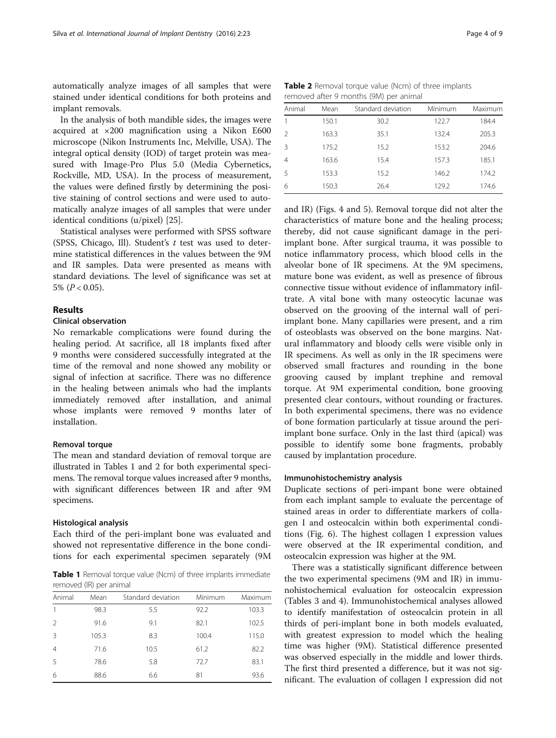automatically analyze images of all samples that were stained under identical conditions for both proteins and implant removals.

In the analysis of both mandible sides, the images were acquired at ×200 magnification using a Nikon E600 microscope (Nikon Instruments Inc, Melville, USA). The integral optical density (IOD) of target protein was measured with Image-Pro Plus 5.0 (Media Cybernetics, Rockville, MD, USA). In the process of measurement, the values were defined firstly by determining the positive staining of control sections and were used to automatically analyze images of all samples that were under identical conditions (u/pixel) [[25\]](#page-7-0).

Statistical analyses were performed with SPSS software (SPSS, Chicago, Ill). Student's  $t$  test was used to determine statistical differences in the values between the 9M and IR samples. Data were presented as means with standard deviations. The level of significance was set at 5%  $(P < 0.05)$ .

## Results

## Clinical observation

No remarkable complications were found during the healing period. At sacrifice, all 18 implants fixed after 9 months were considered successfully integrated at the time of the removal and none showed any mobility or signal of infection at sacrifice. There was no difference in the healing between animals who had the implants immediately removed after installation, and animal whose implants were removed 9 months later of installation.

#### Removal torque

The mean and standard deviation of removal torque are illustrated in Tables 1 and 2 for both experimental specimens. The removal torque values increased after 9 months, with significant differences between IR and after 9M specimens.

#### Histological analysis

Each third of the peri-implant bone was evaluated and showed not representative difference in the bone conditions for each experimental specimen separately (9M

Table 1 Removal torque value (Ncm) of three implants immediate removed (IR) per animal

| Animal         | Mean  | Standard deviation | Minimum | Maximum |
|----------------|-------|--------------------|---------|---------|
| 1              | 98.3  | 5.5                | 92.2    | 103.3   |
| $\overline{2}$ | 91.6  | 9.1                | 82.1    | 102.5   |
| 3              | 105.3 | 8.3                | 100.4   | 115.0   |
| $\overline{4}$ | 71.6  | 10.5               | 61.2    | 82.2    |
| 5              | 78.6  | 5.8                | 72.7    | 83.1    |
| 6              | 88.6  | 6.6                | 81      | 93.6    |

Table 2 Removal torque value (Ncm) of three implants removed after 9 months (9M) per animal

| Animal         | Mean  | Standard deviation | Minimum | Maximum |
|----------------|-------|--------------------|---------|---------|
|                | 150.1 | 30.2               | 122.7   | 184.4   |
| $\mathcal{P}$  | 163.3 | 35.1               | 132.4   | 205.3   |
| 3              | 175.2 | 15.2               | 153.2   | 204.6   |
| $\overline{4}$ | 163.6 | 15.4               | 157.3   | 185.1   |
| -5             | 153.3 | 15.2               | 146.2   | 174.2   |
| 6              | 150.3 | 26.4               | 129.2   | 174.6   |
|                |       |                    |         |         |

and IR) (Figs. [4](#page-4-0) and [5](#page-4-0)). Removal torque did not alter the characteristics of mature bone and the healing process; thereby, did not cause significant damage in the periimplant bone. After surgical trauma, it was possible to notice inflammatory process, which blood cells in the alveolar bone of IR specimens. At the 9M specimens, mature bone was evident, as well as presence of fibrous connective tissue without evidence of inflammatory infiltrate. A vital bone with many osteocytic lacunae was observed on the grooving of the internal wall of periimplant bone. Many capillaries were present, and a rim of osteoblasts was observed on the bone margins. Natural inflammatory and bloody cells were visible only in IR specimens. As well as only in the IR specimens were observed small fractures and rounding in the bone grooving caused by implant trephine and removal torque. At 9M experimental condition, bone grooving presented clear contours, without rounding or fractures. In both experimental specimens, there was no evidence of bone formation particularly at tissue around the periimplant bone surface. Only in the last third (apical) was possible to identify some bone fragments, probably caused by implantation procedure.

## Immunohistochemistry analysis

Duplicate sections of peri-impant bone were obtained from each implant sample to evaluate the percentage of stained areas in order to differentiate markers of collagen I and osteocalcin within both experimental conditions (Fig. [6](#page-5-0)). The highest collagen I expression values were observed at the IR experimental condition, and osteocalcin expression was higher at the 9M.

There was a statistically significant difference between the two experimental specimens (9M and IR) in immunohistochemical evaluation for osteocalcin expression (Tables [3](#page-5-0) and [4](#page-5-0)). Immunohistochemical analyses allowed to identify manifestation of osteocalcin protein in all thirds of peri-implant bone in both models evaluated, with greatest expression to model which the healing time was higher (9M). Statistical difference presented was observed especially in the middle and lower thirds. The first third presented a difference, but it was not significant. The evaluation of collagen I expression did not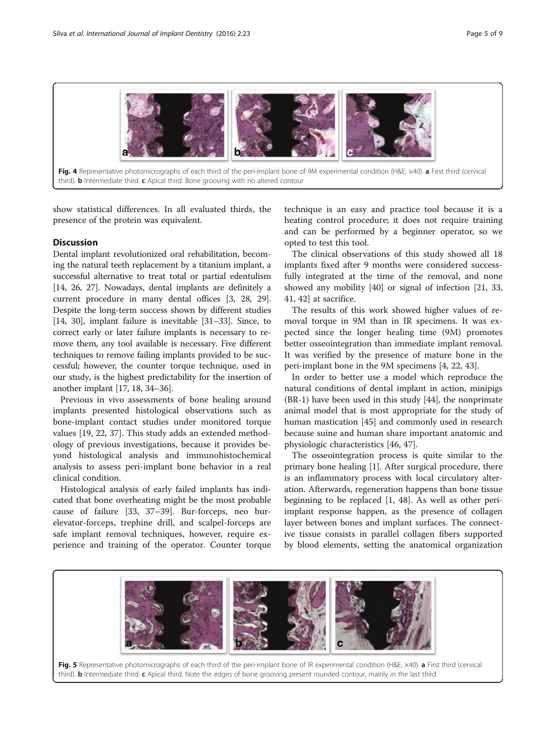<span id="page-4-0"></span>

Fig. 4 Representative photomicrographs of each third of the peri-implant bone of 9M experimental condition (H&E, x40). a First third (cervical third). **b** Intermediate third.  $c$  Apical third. Bone grooving with no altered contour

show statistical differences. In all evaluated thirds, the presence of the protein was equivalent.

## **Discussion**

Dental implant revolutionized oral rehabilitation, becoming the natural teeth replacement by a titanium implant, a successful alternative to treat total or partial edentulism [[14](#page-7-0), [26, 27](#page-7-0)]. Nowadays, dental implants are definitely a current procedure in many dental offices [\[3](#page-6-0), [28, 29](#page-7-0)]. Despite the long-term success shown by different studies [[14](#page-7-0), [30\]](#page-7-0), implant failure is inevitable [\[31](#page-7-0)–[33](#page-7-0)]. Since, to correct early or later failure implants is necessary to remove them, any tool available is necessary. Five different techniques to remove failing implants provided to be successful; however, the counter torque technique, used in our study, is the highest predictability for the insertion of another implant [[17](#page-7-0), [18, 34](#page-7-0)–[36\]](#page-7-0).

Previous in vivo assessments of bone healing around implants presented histological observations such as bone-implant contact studies under monitored torque values [[19, 22](#page-7-0), [37](#page-7-0)]. This study adds an extended methodology of previous investigations, because it provides beyond histological analysis and immunohistochemical analysis to assess peri-implant bone behavior in a real clinical condition.

Histological analysis of early failed implants has indicated that bone overheating might be the most probable cause of failure [\[33, 37](#page-7-0)–[39\]](#page-7-0). Bur-forceps, neo burelevator-forceps, trephine drill, and scalpel-forceps are safe implant removal techniques, however, require experience and training of the operator. Counter torque

technique is an easy and practice tool because it is a heating control procedure; it does not require training and can be performed by a beginner operator, so we opted to test this tool.

The clinical observations of this study showed all 18 implants fixed after 9 months were considered successfully integrated at the time of the removal, and none showed any mobility [\[40](#page-7-0)] or signal of infection [[21](#page-7-0), [33](#page-7-0), [41, 42](#page-7-0)] at sacrifice.

The results of this work showed higher values of removal torque in 9M than in IR specimens. It was expected since the longer healing time (9M) promotes better osseointegration than immediate implant removal. It was verified by the presence of mature bone in the peri-implant bone in the 9M specimens [\[4](#page-6-0), [22](#page-7-0), [43](#page-7-0)].

In order to better use a model which reproduce the natural conditions of dental implant in action, minipigs (BR-1) have been used in this study [[44\]](#page-7-0), the nonprimate animal model that is most appropriate for the study of human mastication [\[45](#page-7-0)] and commonly used in research because suine and human share important anatomic and physiologic characteristics [[46](#page-7-0), [47](#page-7-0)].

The osseointegration process is quite similar to the primary bone healing [[1\]](#page-6-0). After surgical procedure, there is an inflammatory process with local circulatory alteration. Afterwards, regeneration happens than bone tissue beginning to be replaced [\[1,](#page-6-0) [48\]](#page-7-0). As well as other periimplant response happen, as the presence of collagen layer between bones and implant surfaces. The connective tissue consists in parallel collagen fibers supported by blood elements, setting the anatomical organization



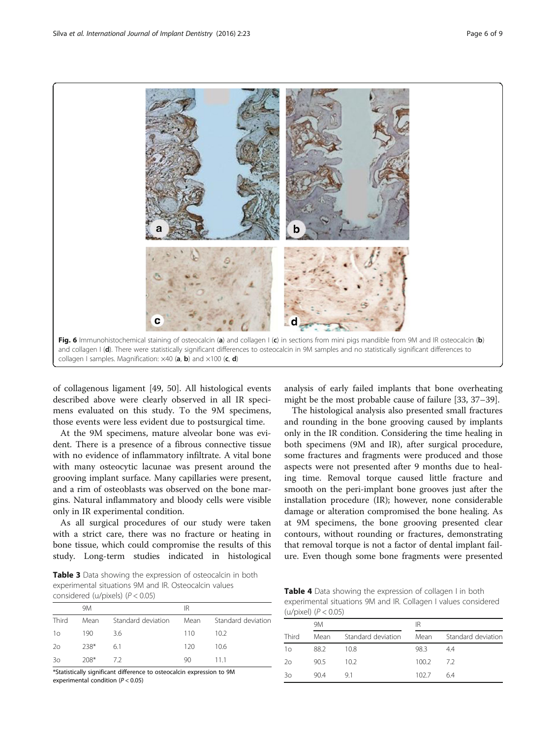<span id="page-5-0"></span>

of collagenous ligament [\[49, 50\]](#page-7-0). All histological events described above were clearly observed in all IR specimens evaluated on this study. To the 9M specimens, those events were less evident due to postsurgical time.

At the 9M specimens, mature alveolar bone was evident. There is a presence of a fibrous connective tissue with no evidence of inflammatory infiltrate. A vital bone with many osteocytic lacunae was present around the grooving implant surface. Many capillaries were present, and a rim of osteoblasts was observed on the bone margins. Natural inflammatory and bloody cells were visible only in IR experimental condition.

As all surgical procedures of our study were taken with a strict care, there was no fracture or heating in bone tissue, which could compromise the results of this study. Long-term studies indicated in histological

Table 3 Data showing the expression of osteocalcin in both experimental situations 9M and IR. Osteocalcin values considered (u/pixels) (P < 0.05)

|       | 9M     |                    | ΙR   |                    |
|-------|--------|--------------------|------|--------------------|
| Third | Mean   | Standard deviation | Mean | Standard deviation |
| 10    | 190    | 36                 | 110  | 102                |
| 20    | $738*$ | 61                 | 120  | 106                |
| 30    | $208*$ | - 72               | 90   | 111                |

\*Statistically significant difference to osteocalcin expression to 9M experimental condition (P < 0.05)

analysis of early failed implants that bone overheating might be the most probable cause of failure [[33](#page-7-0), [37](#page-7-0)–[39](#page-7-0)].

The histological analysis also presented small fractures and rounding in the bone grooving caused by implants only in the IR condition. Considering the time healing in both specimens (9M and IR), after surgical procedure, some fractures and fragments were produced and those aspects were not presented after 9 months due to healing time. Removal torque caused little fracture and smooth on the peri-implant bone grooves just after the installation procedure (IR); however, none considerable damage or alteration compromised the bone healing. As at 9M specimens, the bone grooving presented clear contours, without rounding or fractures, demonstrating that removal torque is not a factor of dental implant failure. Even though some bone fragments were presented

Table 4 Data showing the expression of collagen I in both experimental situations 9M and IR. Collagen I values considered  $(11/niyel)$   $(P < 0.05)$ 

| $(97)$ pixely $(1 \times 9.00)$ |      |                    |       |                    |  |
|---------------------------------|------|--------------------|-------|--------------------|--|
|                                 | 9M   |                    |       | IR                 |  |
| Third                           | Mean | Standard deviation | Mean  | Standard deviation |  |
| 1 <sub>O</sub>                  | 88.2 | 10.8               | 98.3  | 44                 |  |
| 20                              | 90.5 | 10.2 <sup>5</sup>  | 100.2 | 72                 |  |
| 30                              | 90.4 | 91                 | 102.7 | 64                 |  |
|                                 |      |                    |       |                    |  |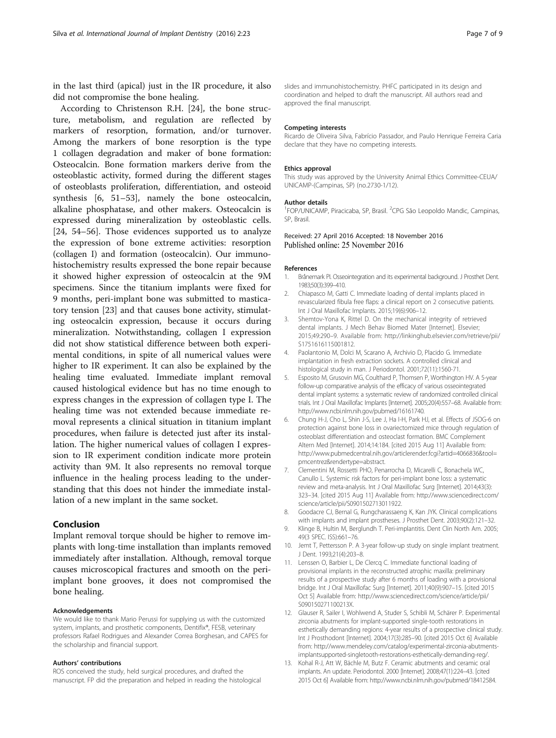<span id="page-6-0"></span>in the last third (apical) just in the IR procedure, it also did not compromise the bone healing.

According to Christenson R.H. [[24](#page-7-0)], the bone structure, metabolism, and regulation are reflected by markers of resorption, formation, and/or turnover. Among the markers of bone resorption is the type 1 collagen degradation and maker of bone formation: Osteocalcin. Bone formation markers derive from the osteoblastic activity, formed during the different stages of osteoblasts proliferation, differentiation, and osteoid synthesis [6, [51](#page-7-0)–[53\]](#page-8-0), namely the bone osteocalcin, alkaline phosphatase, and other makers. Osteocalcin is expressed during mineralization by osteoblastic cells. [[24,](#page-7-0) [54](#page-8-0)–[56](#page-8-0)]. Those evidences supported us to analyze the expression of bone extreme activities: resorption (collagen I) and formation (osteocalcin). Our immunohistochemistry results expressed the bone repair because it showed higher expression of osteocalcin at the 9M specimens. Since the titanium implants were fixed for 9 months, peri-implant bone was submitted to masticatory tension [[23\]](#page-7-0) and that causes bone activity, stimulating osteocalcin expression, because it occurs during mineralization. Notwithstanding, collagen I expression did not show statistical difference between both experimental conditions, in spite of all numerical values were higher to IR experiment. It can also be explained by the healing time evaluated. Immediate implant removal caused histological evidence but has no time enough to express changes in the expression of collagen type I. The healing time was not extended because immediate removal represents a clinical situation in titanium implant procedures, when failure is detected just after its installation. The higher numerical values of collagen I expression to IR experiment condition indicate more protein activity than 9M. It also represents no removal torque influence in the healing process leading to the understanding that this does not hinder the immediate installation of a new implant in the same socket.

## Conclusion

Implant removal torque should be higher to remove implants with long-time installation than implants removed immediately after installation. Although, removal torque causes microscopical fractures and smooth on the periimplant bone grooves, it does not compromised the bone healing.

#### Acknowledgements

We would like to thank Mario Perussi for supplying us with the customized system, implants, and prosthetic components, Dentifix®, FESB, veterinary professors Rafael Rodrigues and Alexander Correa Borghesan, and CAPES for the scholarship and financial support.

#### Authors' contributions

ROS conceived the study, held surgical procedures, and drafted the manuscript. FP did the preparation and helped in reading the histological

slides and immunohistochemistry. PHFC participated in its design and coordination and helped to draft the manuscript. All authors read and approved the final manuscript.

#### Competing interests

Ricardo de Oliveira Silva, Fabrício Passador, and Paulo Henrique Ferreira Caria declare that they have no competing interests.

#### Ethics approval

This study was approved by the University Animal Ethics Committee-CEUA/ UNICAMP-(Campinas, SP) (no.2730-1/12).

#### Author details

<sup>1</sup>FOP/UNICAMP, Piracicaba, SP, Brasil. <sup>2</sup>CPG São Leopoldo Mandic, Campinas SP, Brasil.

#### Received: 27 April 2016 Accepted: 18 November 2016 Published online: 25 November 2016

#### References

- 1. Brånemark PI. Osseointegration and its experimental background. J Prosthet Dent. 1983;50(3):399–410.
- 2. Chiapasco M, Gatti C. Immediate loading of dental implants placed in revascularized fibula free flaps: a clinical report on 2 consecutive patients. Int J Oral Maxillofac Implants. 2015;19(6):906–12.
- 3. Shemtov-Yona K, Rittel D. On the mechanical integrity of retrieved dental implants. J Mech Behav Biomed Mater [Internet]. Elsevier; 2015;49:290–9. Available from: [http://linkinghub.elsevier.com/retrieve/pii/](http://linkinghub.elsevier.com/retrieve/pii/S1751616115001812) [S1751616115001812](http://linkinghub.elsevier.com/retrieve/pii/S1751616115001812).
- 4. Paolantonio M, Dolci M, Scarano A, Archivio D, Placido G. Immediate implantation in fresh extraction sockets. A controlled clinical and histological study in man. J Periodontol. 2001;72(11):1560-71.
- 5. Esposito M, Grusovin MG, Coulthard P, Thomsen P, Worthington HV. A 5-year follow-up comparative analysis of the efficacy of various osseointegrated dental implant systems: a systematic review of randomized controlled clinical trials. Int J Oral Maxillofac Implants [Internet]. 2005;20(4):557–68. Available from: [http://www.ncbi.nlm.nih.gov/pubmed/16161740.](http://www.ncbi.nlm.nih.gov/pubmed/16161740)
- 6. Chung H-J, Cho L, Shin J-S, Lee J, Ha I-H, Park HJ, et al. Effects of JSOG-6 on protection against bone loss in ovariectomized mice through regulation of osteoblast differentiation and osteoclast formation. BMC Complement Altern Med [Internet]. 2014;14:184. [cited 2015 Aug 11] Available from: [http://www.pubmedcentral.nih.gov/articlerender.fcgi?artid=4066836&tool=](http://www.pubmedcentral.nih.gov/articlerender.fcgi?artid=4066836&tool=pmcentrez&rendertype=abstract) [pmcentrez&rendertype=abstract.](http://www.pubmedcentral.nih.gov/articlerender.fcgi?artid=4066836&tool=pmcentrez&rendertype=abstract)
- 7. Clementini M, Rossetti PHO, Penarrocha D, Micarelli C, Bonachela WC, Canullo L. Systemic risk factors for peri-implant bone loss: a systematic review and meta-analysis. Int J Oral Maxillofac Surg [Internet]. 2014;43(3): 323–34. [cited 2015 Aug 11] Available from: [http://www.sciencedirect.com/](http://www.sciencedirect.com/science/article/pii/S0901502713011922) [science/article/pii/S0901502713011922.](http://www.sciencedirect.com/science/article/pii/S0901502713011922)
- 8. Goodacre CJ, Bernal G, Rungcharassaeng K, Kan JYK. Clinical complications with implants and implant prostheses. J Prosthet Dent. 2003;90(2):121–32.
- 9. Klinge B, Hultin M, Berglundh T. Peri-implantitis. Dent Clin North Am. 2005; 49(3 SPEC. ISS):661–76.
- 10. Jemt T, Pettersson P. A 3-year follow-up study on single implant treatment. J Dent. 1993;21(4):203–8.
- 11. Lenssen O, Barbier L, De Clercq C. Immediate functional loading of provisional implants in the reconstructed atrophic maxilla: preliminary results of a prospective study after 6 months of loading with a provisional bridge. Int J Oral Maxillofac Surg [Internet]. 2011;40(9):907–15. [cited 2015 Oct 5] Available from: [http://www.sciencedirect.com/science/article/pii/](http://www.sciencedirect.com/science/article/pii/S090150271100213X) [S090150271100213X](http://www.sciencedirect.com/science/article/pii/S090150271100213X).
- 12. Glauser R, Sailer I, Wohlwend A, Studer S, Schibli M, Schärer P. Experimental zirconia abutments for implant-supported single-tooth restorations in esthetically demanding regions: 4-year results of a prospective clinical study. Int J Prosthodont [Internet]. 2004;17(3):285–90. [cited 2015 Oct 6] Available from: [http://www.mendeley.com/catalog/experimental-zirconia-abutments](http://www.mendeley.com/catalog/experimental-zirconia-abutments-implantsupported-singletooth-restorations-esthetically-demanding-reg/)[implantsupported-singletooth-restorations-esthetically-demanding-reg/.](http://www.mendeley.com/catalog/experimental-zirconia-abutments-implantsupported-singletooth-restorations-esthetically-demanding-reg/)
- 13. Kohal R-J, Att W, Bächle M, Butz F. Ceramic abutments and ceramic oral implants. An update. Periodontol. 2000 [Internet]. 2008;47(1):224–43. [cited 2015 Oct 6] Available from:<http://www.ncbi.nlm.nih.gov/pubmed/18412584>.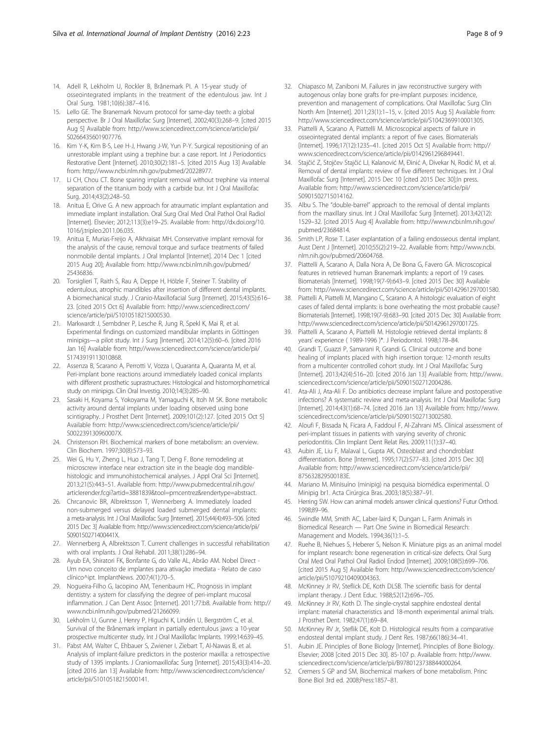- <span id="page-7-0"></span>14. Adell R, Lekholm U, Rockler B, Brånemark PI. A 15-year study of osseointegrated implants in the treatment of the edentulous jaw. Int J Oral Surg. 1981;10(6):387–416.
- 15. Lello GE. The Branemark Novum protocol for same-day teeth: a global perspective. Br J Oral Maxillofac Surg [Internet]. 2002;40(3):268–9. [cited 2015 Aug 5] Available from: [http://www.sciencedirect.com/science/article/pii/](http://www.sciencedirect.com/science/article/pii/S0266435601907776) [S0266435601907776.](http://www.sciencedirect.com/science/article/pii/S0266435601907776)
- 16. Kim Y-K, Kim B-S, Lee H-J, Hwang J-W, Yun P-Y. Surgical repositioning of an unrestorable implant using a trephine bur: a case report. Int J Periodontics Restorative Dent [Internet]. 2010;30(2):181–5. [cited 2015 Aug 13] Available from:<http://www.ncbi.nlm.nih.gov/pubmed/20228977>.
- 17. Li CH, Chou CT. Bone sparing implant removal without trephine via internal separation of the titanium body with a carbide bur. Int J Oral Maxillofac Surg. 2014;43(2):248–50.
- 18. Anitua E, Orive G. A new approach for atraumatic implant explantation and immediate implant installation. Oral Surg Oral Med Oral Pathol Oral Radiol [Internet]. Elsevier; 2012;113(3):e19–25. Available from: [http://dx.doi.org/10.](http://dx.doi.org/10.1016/j.tripleo.2011.06.035) [1016/j.tripleo.2011.06.035.](http://dx.doi.org/10.1016/j.tripleo.2011.06.035)
- 19. Anitua E, Murias-Freijo A, Alkhraisat MH. Conservative implant removal for the analysis of the cause, removal torque and surface treatments of failed nonmobile dental implants. J Oral Implantol [Internet]. 2014 Dec 1 [cited 2015 Aug 20]; Available from: [http://www.ncbi.nlm.nih.gov/pubmed/](http://www.ncbi.nlm.nih.gov/pubmed/25436836) [25436836](http://www.ncbi.nlm.nih.gov/pubmed/25436836).
- 20. Torsiglieri T, Raith S, Rau A, Deppe H, Hölzle F, Steiner T. Stability of edentulous, atrophic mandibles after insertion of different dental implants. A biomechanical study. J Cranio-Maxillofacial Surg [Internet]. 2015;43(5):616– 23. [cited 2015 Oct 6] Available from: [http://www.sciencedirect.com/](http://www.sciencedirect.com/science/article/pii/S1010518215000530) [science/article/pii/S1010518215000530.](http://www.sciencedirect.com/science/article/pii/S1010518215000530)
- 21. Markwardt J, Sembdner P, Lesche R, Jung R, Spekl K, Mai R, et al. Experimental findings on customized mandibular implants in Göttingen minipigs—a pilot study. Int J Surg [Internet]. 2014;12(5):60–6. [cited 2016 Jan 16] Available from: [http://www.sciencedirect.com/science/article/pii/](http://www.sciencedirect.com/science/article/pii/S1743919113010868) [S1743919113010868.](http://www.sciencedirect.com/science/article/pii/S1743919113010868)
- 22. Assenza B, Scarano A, Perrotti V, Vozza I, Quaranta A, Quaranta M, et al. Peri-implant bone reactions around immediately loaded conical implants with different prosthetic suprastructures: Histological and histomorphometrical study on minipigs. Clin Oral Investig. 2010;14(3):285–90.
- 23. Sasaki H, Koyama S, Yokoyama M, Yamaguchi K, Itoh M SK. Bone metabolic activity around dental implants under loading observed using bone scintigraphy. J Prosthet Dent [Internet]. 2009;101(2):127. [cited 2015 Oct 5] Available from: [http://www.sciencedirect.com/science/article/pii/](http://www.sciencedirect.com/science/article/pii/S002239130960007X) [S002239130960007X](http://www.sciencedirect.com/science/article/pii/S002239130960007X).
- 24. Christenson RH. Biochemical markers of bone metabolism: an overview. Clin Biochem. 1997;30(8):573–93.
- 25. Wei G, Hu Y, Zheng L, Huo J, Tang T, Deng F. Bone remodeling at microscrew interface near extraction site in the beagle dog mandiblehistologic and immunohistochemical analyses. J Appl Oral Sci [Internet]. 2013;21(5):443–51. Available from: [http://www.pubmedcentral.nih.gov/](http://www.pubmedcentral.nih.gov/articlerender.fcgi?artid=3881839&tool=pmcentrez&rendertype=abstract) [articlerender.fcgi?artid=3881839&tool=pmcentrez&rendertype=abstract.](http://www.pubmedcentral.nih.gov/articlerender.fcgi?artid=3881839&tool=pmcentrez&rendertype=abstract)
- 26. Chrcanovic BR, Albrektsson T, Wennerberg A. Immediately loaded non-submerged versus delayed loaded submerged dental implants: a meta-analysis. Int J Oral Maxillofac Surg [Internet]. 2015;44(4):493–506. [cited 2015 Dec 3] Available from: [http://www.sciencedirect.com/science/article/pii/](http://www.sciencedirect.com/science/article/pii/S090150271400441X) [S090150271400441X.](http://www.sciencedirect.com/science/article/pii/S090150271400441X)
- 27. Wennerberg A, Albrektsson T. Current challenges in successful rehabilitation with oral implants. J Oral Rehabil. 2011;38(1):286–94.
- 28. Ayub EA, Shiratori FK, Bonfante G, do Valle AL, Abrão AM. Nobel Direct Um novo conceito de implantes para ativação imediata - Relato de caso clínico^ipt. ImplantNews. 2007;4(1):70–5.
- 29. Nogueira-Filho G, Iacopino AM, Tenenbaum HC. Prognosis in implant dentistry: a system for classifying the degree of peri-implant mucosal inflammation. J Can Dent Assoc [Internet]. 2011;77:b8. Available from: [http://](http://www.ncbi.nlm.nih.gov/pubmed/21266099) [www.ncbi.nlm.nih.gov/pubmed/21266099.](http://www.ncbi.nlm.nih.gov/pubmed/21266099)
- 30. Lekholm U, Gunne J, Henry P, Higuchi K, Lindén U, Bergström C, et al. Survival of the Brånemark implant in partially edentulous jaws: a 10-year prospective multicenter study. Int J Oral Maxillofac Implants. 1999;14:639–45.
- 31. Pabst AM, Walter C, Ehbauer S, Zwiener I, Ziebart T, Al-Nawas B, et al. Analysis of implant-failure predictors in the posterior maxilla: a retrospective study of 1395 implants. J Craniomaxillofac Surg [Internet]. 2015;43(3):414–20. [cited 2016 Jan 13] Available from: [http://www.sciencedirect.com/science/](http://www.sciencedirect.com/science/article/pii/S1010518215000141) [article/pii/S1010518215000141](http://www.sciencedirect.com/science/article/pii/S1010518215000141).
- 32. Chiapasco M, Zaniboni M. Failures in jaw reconstructive surgery with autogenous onlay bone grafts for pre-implant purposes: incidence, prevention and management of complications. Oral Maxillofac Surg Clin North Am [Internet]. 2011;23(1):1–15, v. [cited 2015 Aug 5] Available from: <http://www.sciencedirect.com/science/article/pii/S1042369910001305>.
- 33. Piattelli A, Scarano A, Piattelli M. Microscopical aspects of failure in osseointegrated dental implants: a report of five cases. Biomaterials [Internet]. 1996;17(12):1235–41. [cited 2015 Oct 5] Available from: [http://](http://www.sciencedirect.com/science/article/pii/0142961296849441) [www.sciencedirect.com/science/article/pii/0142961296849441](http://www.sciencedirect.com/science/article/pii/0142961296849441).
- 34. Stajčić Z, Stojčev Stajčić LJ, Kalanović M, Đinić A, Divekar N, Rodić M, et al. Removal of dental implants: review of five different techniques. Int J Oral Maxillofac Surg [Internet]. 2015 Dec 10 [cited 2015 Dec 30];In press. Available from: [http://www.sciencedirect.com/science/article/pii/](http://www.sciencedirect.com/science/article/pii/S0901502715014162) [S0901502715014162.](http://www.sciencedirect.com/science/article/pii/S0901502715014162)
- 35. Albu S. The "double-barrel" approach to the removal of dental implants from the maxillary sinus. Int J Oral Maxillofac Surg [Internet]. 2013;42(12): 1529–32. [cited 2015 Aug 4] Available from: [http://www.ncbi.nlm.nih.gov/](http://www.ncbi.nlm.nih.gov/pubmed/23684814) [pubmed/23684814.](http://www.ncbi.nlm.nih.gov/pubmed/23684814)
- 36. Smith LP, Rose T. Laser explantation of a failing endosseous dental implant. Aust Dent J [Internet]. 2010;55(2):219–22. Available from: [http://www.ncbi.](http://www.ncbi.nlm.nih.gov/pubmed/20604768) [nlm.nih.gov/pubmed/20604768.](http://www.ncbi.nlm.nih.gov/pubmed/20604768)
- 37. Piattelli A, Scarano A, Dalla Nora A, De Bona G, Favero GA. Microscopical features in retrieved human Branemark implants: a report of 19 cases. Biomaterials [Internet]. 1998;19(7-9):643–9. [cited 2015 Dec 30] Available from:<http://www.sciencedirect.com/science/article/pii/S0142961297001580>.
- 38. Piattelli A, Piattelli M, Mangano C, Scarano A. A histologic evaluation of eight cases of failed dental implants: is bone overheating the most probable cause? Biomaterials [Internet]. 1998;19(7-9):683–90. [cited 2015 Dec 30] Available from: [http://www.sciencedirect.com/science/article/pii/S0142961297001725.](http://www.sciencedirect.com/science/article/pii/S0142961297001725)
- 39. Piattelli A, Scarano A, Piattelli M. Histologie retrieved dental implants: 8 years' experience ( 1989-1996 )\*. J Periodontol. 1998;178–84.
- 40. Grandi T, Guazzi P, Samarani R, Grandi G. Clinical outcome and bone healing of implants placed with high insertion torque: 12-month results from a multicenter controlled cohort study. Int J Oral Maxillofac Surg [Internet]. 2013;42(4):516–20. [cited 2016 Jan 13] Available from: [http://www.](http://www.sciencedirect.com/science/article/pii/S0901502712004286) [sciencedirect.com/science/article/pii/S0901502712004286.](http://www.sciencedirect.com/science/article/pii/S0901502712004286)
- 41. Ata-Ali J, Ata-Ali F. Do antibiotics decrease implant failure and postoperative infections? A systematic review and meta-analysis. Int J Oral Maxillofac Surg [Internet]. 2014;43(1):68–74. [cited 2016 Jan 13] Available from: [http://www.](http://www.sciencedirect.com/science/article/pii/S0901502713002580) [sciencedirect.com/science/article/pii/S0901502713002580.](http://www.sciencedirect.com/science/article/pii/S0901502713002580)
- 42. Aloufi F, Bissada N, Ficara A, Faddoul F, Al-Zahrani MS. Clinical assessment of peri-implant tissues in patients with varying severity of chronic periodontitis. Clin Implant Dent Relat Res. 2009;11(1):37–40.
- 43. Aubin JE, Liu F, Malaval L, Gupta AK. Osteoblast and chondroblast differentiation. Bone [Internet]. 1995;17(2):S77–83. [cited 2015 Dec 30] Available from: [http://www.sciencedirect.com/science/article/pii/](http://www.sciencedirect.com/science/article/pii/875632829500183E) [875632829500183E](http://www.sciencedirect.com/science/article/pii/875632829500183E).
- 44. Mariano M. Minisuíno (minipig) na pesquisa biomédica experimental. O Minipig br1. Acta Cirúrgica Bras. 2003;18(5):387–91.
- 45. Herring SW. How can animal models answer clinical questions? Futur Orthod. 1998;89–96.
- 46. Swindle MM, Smith AC, Laber-laird K, Dungan L. Farm Animals in Biomedical Research — Part One Swine in Biomedical Research: Management and Models. 1994;36(1):1–5.
- 47. Ruehe B, Niehues S, Heberer S, Nelson K. Miniature pigs as an animal model for implant research: bone regeneration in critical-size defects. Oral Surg Oral Med Oral Pathol Oral Radiol Endod [Internet]. 2009;108(5):699–706. [cited 2015 Aug 5] Available from: [http://www.sciencedirect.com/science/](http://www.sciencedirect.com/science/article/pii/S1079210409004363) [article/pii/S1079210409004363](http://www.sciencedirect.com/science/article/pii/S1079210409004363).
- 48. McKinney Jr RV, Steflick DE, Koth DLSB. The scientific basis for dental implant therapy. J Dent Educ. 1988;52(12):696–705.
- 49. McKinney Jr RV, Koth D. The single-crystal sapphire endosteal dental implant: material characteristics and 18-month experimental animal trials. J Prosthet Dent. 1982;47(1):69–84.
- 50. McKinney RV Jr, Steflik DE, Kolt D. Histological results from a comparative endosteal dental implant study. J Dent Res. 1987;66(186):34–41.
- 51. Aubin JE. Principles of Bone Biology [Internet]. Principles of Bone Biology. Elsevier; 2008 [cited 2015 Dec 30]. 85-107 p. Available from: [http://www.](http://www.sciencedirect.com/science/article/pii/B9780123738844000264) [sciencedirect.com/science/article/pii/B9780123738844000264](http://www.sciencedirect.com/science/article/pii/B9780123738844000264).
- 52. Cremers S GP and SM. Biochemical markers of bone metabolism. Princ Bone Biol 3rd ed. 2008;Press:1857–81.